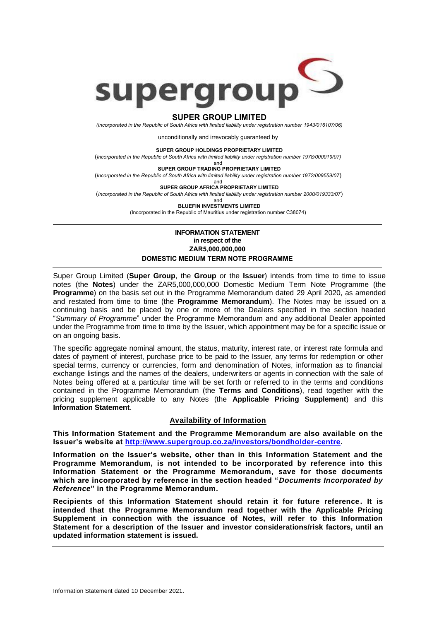

## **SUPER GROUP LIMITED**

*(Incorporated in the Republic of South Africa with limited liability under registration number 1943/016107/06)*

unconditionally and irrevocably guaranteed by

**SUPER GROUP HOLDINGS PROPRIETARY LIMITED**

(*Incorporated in the Republic of South Africa with limited liability under registration number 1978/000019/07)*

and

**SUPER GROUP TRADING PROPRIETARY LIMITED** (*Incorporated in the Republic of South Africa with limited liability under registration number 1972/009559/07*)

> and **SUPER GROUP AFRICA PROPRIETARY LIMITED**

(*Incorporated in the Republic of South Africa with limited liability under registration number 2000/019333/07*)

and

**BLUEFIN INVESTMENTS LIMITED** (Incorporated in the Republic of Mauritius under registration number C38074)

## **INFORMATION STATEMENT in respect of the ZAR5,000,000,000 DOMESTIC MEDIUM TERM NOTE PROGRAMME**

Super Group Limited (**Super Group**, the **Group** or the **Issuer**) intends from time to time to issue notes (the **Notes**) under the ZAR5,000,000,000 Domestic Medium Term Note Programme (the **Programme**) on the basis set out in the Programme Memorandum dated 29 April 2020, as amended and restated from time to time (the **Programme Memorandum**). The Notes may be issued on a continuing basis and be placed by one or more of the Dealers specified in the section headed "*Summary of Programme*" under the Programme Memorandum and any additional Dealer appointed under the Programme from time to time by the Issuer, which appointment may be for a specific issue or on an ongoing basis.

The specific aggregate nominal amount, the status, maturity, interest rate, or interest rate formula and dates of payment of interest, purchase price to be paid to the Issuer, any terms for redemption or other special terms, currency or currencies, form and denomination of Notes, information as to financial exchange listings and the names of the dealers, underwriters or agents in connection with the sale of Notes being offered at a particular time will be set forth or referred to in the terms and conditions contained in the Programme Memorandum (the **Terms and Conditions**), read together with the pricing supplement applicable to any Notes (the **Applicable Pricing Supplement**) and this **Information Statement**.

## **Availability of Information**

**This Information Statement and the Programme Memorandum are also available on the Issuer's website at [http://www.supergroup.co.za/investors/bondholder-centre.](http://www.supergroup.co.za/investors/bondholder-centre)**

**Information on the Issuer's website, other than in this Information Statement and the Programme Memorandum, is not intended to be incorporated by reference into this Information Statement or the Programme Memorandum, save for those documents which are incorporated by reference in the section headed "***Documents Incorporated by Reference***" in the Programme Memorandum.**

**Recipients of this Information Statement should retain it for future reference. It is intended that the Programme Memorandum read together with the Applicable Pricing Supplement in connection with the issuance of Notes, will refer to this Information Statement for a description of the Issuer and investor considerations/risk factors, until an updated information statement is issued.**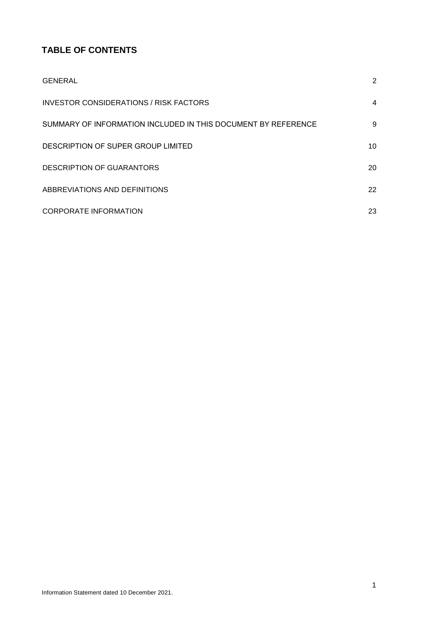# **TABLE OF CONTENTS**

| <b>GENERAL</b>                                                | 2  |
|---------------------------------------------------------------|----|
| INVESTOR CONSIDERATIONS / RISK FACTORS                        | 4  |
| SUMMARY OF INFORMATION INCLUDED IN THIS DOCUMENT BY REFERENCE | 9  |
| DESCRIPTION OF SUPER GROUP LIMITED                            | 10 |
| <b>DESCRIPTION OF GUARANTORS</b>                              | 20 |
| ABBREVIATIONS AND DEFINITIONS                                 | 22 |
| <b>CORPORATE INFORMATION</b>                                  | 23 |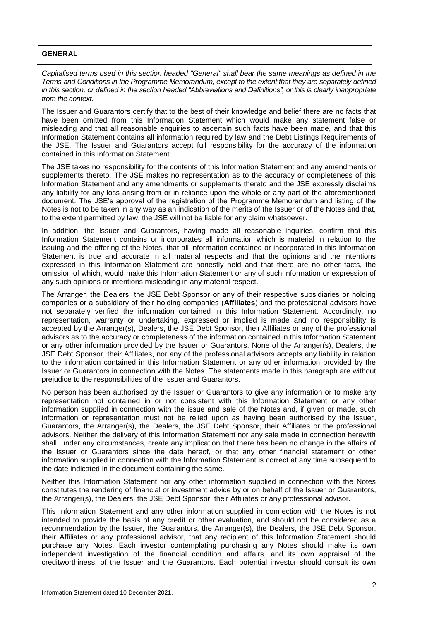## <span id="page-2-0"></span>**GENERAL**

*Capitalised terms used in this section headed "General" shall bear the same meanings as defined in the Terms and Conditions in the Programme Memorandum, except to the extent that they are separately defined in this section, or defined in the section headed "Abbreviations and Definitions", or this is clearly inappropriate from the context.* 

The Issuer and Guarantors certify that to the best of their knowledge and belief there are no facts that have been omitted from this Information Statement which would make any statement false or misleading and that all reasonable enquiries to ascertain such facts have been made, and that this Information Statement contains all information required by law and the Debt Listings Requirements of the JSE. The Issuer and Guarantors accept full responsibility for the accuracy of the information contained in this Information Statement.

The JSE takes no responsibility for the contents of this Information Statement and any amendments or supplements thereto. The JSE makes no representation as to the accuracy or completeness of this Information Statement and any amendments or supplements thereto and the JSE expressly disclaims any liability for any loss arising from or in reliance upon the whole or any part of the aforementioned document. The JSE's approval of the registration of the Programme Memorandum and listing of the Notes is not to be taken in any way as an indication of the merits of the Issuer or of the Notes and that, to the extent permitted by law, the JSE will not be liable for any claim whatsoever.

In addition, the Issuer and Guarantors, having made all reasonable inquiries, confirm that this Information Statement contains or incorporates all information which is material in relation to the issuing and the offering of the Notes, that all information contained or incorporated in this Information Statement is true and accurate in all material respects and that the opinions and the intentions expressed in this Information Statement are honestly held and that there are no other facts, the omission of which, would make this Information Statement or any of such information or expression of any such opinions or intentions misleading in any material respect.

The Arranger, the Dealers, the JSE Debt Sponsor or any of their respective subsidiaries or holding companies or a subsidiary of their holding companies (**Affiliates**) and the professional advisors have not separately verified the information contained in this Information Statement. Accordingly, no representation, warranty or undertaking, expressed or implied is made and no responsibility is accepted by the Arranger(s), Dealers, the JSE Debt Sponsor, their Affiliates or any of the professional advisors as to the accuracy or completeness of the information contained in this Information Statement or any other information provided by the Issuer or Guarantors. None of the Arranger(s), Dealers, the JSE Debt Sponsor, their Affiliates, nor any of the professional advisors accepts any liability in relation to the information contained in this Information Statement or any other information provided by the Issuer or Guarantors in connection with the Notes. The statements made in this paragraph are without prejudice to the responsibilities of the Issuer and Guarantors.

No person has been authorised by the Issuer or Guarantors to give any information or to make any representation not contained in or not consistent with this Information Statement or any other information supplied in connection with the issue and sale of the Notes and, if given or made, such information or representation must not be relied upon as having been authorised by the Issuer, Guarantors, the Arranger(s), the Dealers, the JSE Debt Sponsor, their Affiliates or the professional advisors. Neither the delivery of this Information Statement nor any sale made in connection herewith shall, under any circumstances, create any implication that there has been no change in the affairs of the Issuer or Guarantors since the date hereof, or that any other financial statement or other information supplied in connection with the Information Statement is correct at any time subsequent to the date indicated in the document containing the same.

Neither this Information Statement nor any other information supplied in connection with the Notes constitutes the rendering of financial or investment advice by or on behalf of the Issuer or Guarantors, the Arranger(s), the Dealers, the JSE Debt Sponsor, their Affiliates or any professional advisor.

This Information Statement and any other information supplied in connection with the Notes is not intended to provide the basis of any credit or other evaluation, and should not be considered as a recommendation by the Issuer, the Guarantors, the Arranger(s), the Dealers, the JSE Debt Sponsor, their Affiliates or any professional advisor, that any recipient of this Information Statement should purchase any Notes. Each investor contemplating purchasing any Notes should make its own independent investigation of the financial condition and affairs, and its own appraisal of the creditworthiness, of the Issuer and the Guarantors. Each potential investor should consult its own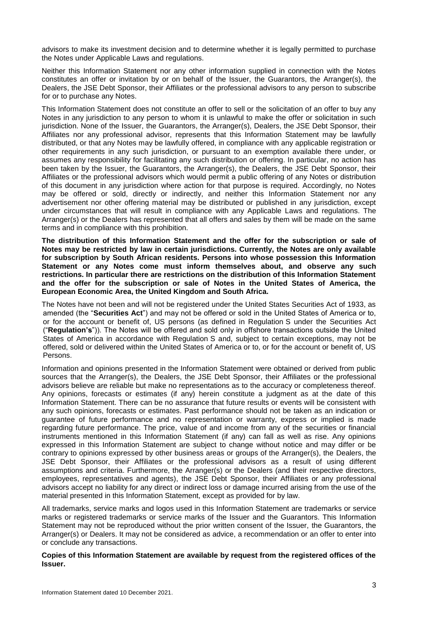advisors to make its investment decision and to determine whether it is legally permitted to purchase the Notes under Applicable Laws and regulations.

Neither this Information Statement nor any other information supplied in connection with the Notes constitutes an offer or invitation by or on behalf of the Issuer, the Guarantors, the Arranger(s), the Dealers, the JSE Debt Sponsor, their Affiliates or the professional advisors to any person to subscribe for or to purchase any Notes.

This Information Statement does not constitute an offer to sell or the solicitation of an offer to buy any Notes in any jurisdiction to any person to whom it is unlawful to make the offer or solicitation in such jurisdiction. None of the Issuer, the Guarantors, the Arranger(s), Dealers, the JSE Debt Sponsor, their Affiliates nor any professional advisor, represents that this Information Statement may be lawfully distributed, or that any Notes may be lawfully offered, in compliance with any applicable registration or other requirements in any such jurisdiction, or pursuant to an exemption available there under, or assumes any responsibility for facilitating any such distribution or offering. In particular, no action has been taken by the Issuer, the Guarantors, the Arranger(s), the Dealers, the JSE Debt Sponsor, their Affiliates or the professional advisors which would permit a public offering of any Notes or distribution of this document in any jurisdiction where action for that purpose is required. Accordingly, no Notes may be offered or sold, directly or indirectly, and neither this Information Statement nor any advertisement nor other offering material may be distributed or published in any jurisdiction, except under circumstances that will result in compliance with any Applicable Laws and regulations. The Arranger(s) or the Dealers has represented that all offers and sales by them will be made on the same terms and in compliance with this prohibition.

**The distribution of this Information Statement and the offer for the subscription or sale of Notes may be restricted by law in certain jurisdictions. Currently, the Notes are only available for subscription by South African residents. Persons into whose possession this Information Statement or any Notes come must inform themselves about, and observe any such restrictions. In particular there are restrictions on the distribution of this Information Statement and the offer for the subscription or sale of Notes in the United States of America, the European Economic Area, the United Kingdom and South Africa.**

The Notes have not been and will not be registered under the United States Securities Act of 1933, as amended (the "**Securities Act**") and may not be offered or sold in the United States of America or to, or for the account or benefit of, US persons (as defined in Regulation S under the Securities Act ("**Regulation's**")). The Notes will be offered and sold only in offshore transactions outside the United States of America in accordance with Regulation S and, subject to certain exceptions, may not be offered, sold or delivered within the United States of America or to, or for the account or benefit of, US Persons.

Information and opinions presented in the Information Statement were obtained or derived from public sources that the Arranger(s), the Dealers, the JSE Debt Sponsor, their Affiliates or the professional advisors believe are reliable but make no representations as to the accuracy or completeness thereof. Any opinions, forecasts or estimates (if any) herein constitute a judgment as at the date of this Information Statement. There can be no assurance that future results or events will be consistent with any such opinions, forecasts or estimates. Past performance should not be taken as an indication or guarantee of future performance and no representation or warranty, express or implied is made regarding future performance. The price, value of and income from any of the securities or financial instruments mentioned in this Information Statement (if any) can fall as well as rise. Any opinions expressed in this Information Statement are subject to change without notice and may differ or be contrary to opinions expressed by other business areas or groups of the Arranger(s), the Dealers, the JSE Debt Sponsor, their Affiliates or the professional advisors as a result of using different assumptions and criteria. Furthermore, the Arranger(s) or the Dealers (and their respective directors, employees, representatives and agents), the JSE Debt Sponsor, their Affiliates or any professional advisors accept no liability for any direct or indirect loss or damage incurred arising from the use of the material presented in this Information Statement, except as provided for by law.

All trademarks, service marks and logos used in this Information Statement are trademarks or service marks or registered trademarks or service marks of the Issuer and the Guarantors. This Information Statement may not be reproduced without the prior written consent of the Issuer, the Guarantors, the Arranger(s) or Dealers. It may not be considered as advice, a recommendation or an offer to enter into or conclude any transactions.

**Copies of this Information Statement are available by request from the registered offices of the Issuer.**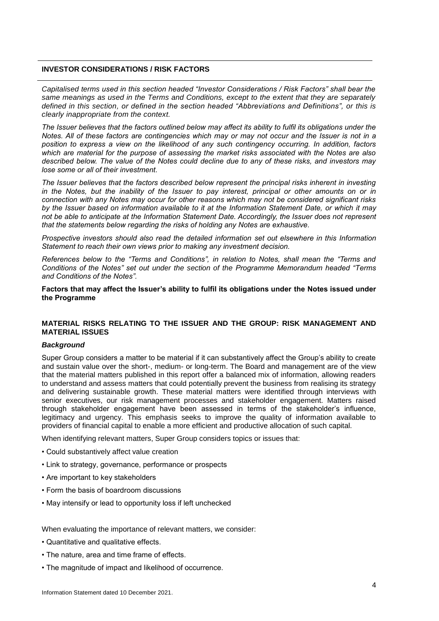## <span id="page-4-0"></span>**INVESTOR CONSIDERATIONS / RISK FACTORS**

*Capitalised terms used in this section headed "Investor Considerations / Risk Factors" shall bear the same meanings as used in the Terms and Conditions, except to the extent that they are separately defined in this section, or defined in the section headed "Abbreviations and Definitions", or this is clearly inappropriate from the context.*

*The Issuer believes that the factors outlined below may affect its ability to fulfil its obligations under the Notes. All of these factors are contingencies which may or may not occur and the Issuer is not in a position to express a view on the likelihood of any such contingency occurring. In addition, factors which are material for the purpose of assessing the market risks associated with the Notes are also described below. The value of the Notes could decline due to any of these risks, and investors may lose some or all of their investment.*

*The Issuer believes that the factors described below represent the principal risks inherent in investing in the Notes, but the inability of the Issuer to pay interest, principal or other amounts on or in connection with any Notes may occur for other reasons which may not be considered significant risks by the Issuer based on information available to it at the Information Statement Date, or which it may not be able to anticipate at the Information Statement Date. Accordingly, the Issuer does not represent that the statements below regarding the risks of holding any Notes are exhaustive.* 

*Prospective investors should also read the detailed information set out elsewhere in this Information Statement to reach their own views prior to making any investment decision.* 

*References below to the "Terms and Conditions", in relation to Notes, shall mean the "Terms and Conditions of the Notes" set out under the section of the Programme Memorandum headed "Terms and Conditions of the Notes".* 

**Factors that may affect the Issuer's ability to fulfil its obligations under the Notes issued under the Programme**

## **MATERIAL RISKS RELATING TO THE ISSUER AND THE GROUP: RISK MANAGEMENT AND MATERIAL ISSUES**

#### *Background*

Super Group considers a matter to be material if it can substantively affect the Group's ability to create and sustain value over the short-, medium- or long-term. The Board and management are of the view that the material matters published in this report offer a balanced mix of information, allowing readers to understand and assess matters that could potentially prevent the business from realising its strategy and delivering sustainable growth. These material matters were identified through interviews with senior executives, our risk management processes and stakeholder engagement. Matters raised through stakeholder engagement have been assessed in terms of the stakeholder's influence, legitimacy and urgency. This emphasis seeks to improve the quality of information available to providers of financial capital to enable a more efficient and productive allocation of such capital.

When identifying relevant matters, Super Group considers topics or issues that:

- Could substantively affect value creation
- Link to strategy, governance, performance or prospects
- Are important to key stakeholders
- Form the basis of boardroom discussions
- May intensify or lead to opportunity loss if left unchecked

When evaluating the importance of relevant matters, we consider:

- Quantitative and qualitative effects.
- The nature, area and time frame of effects.
- The magnitude of impact and likelihood of occurrence.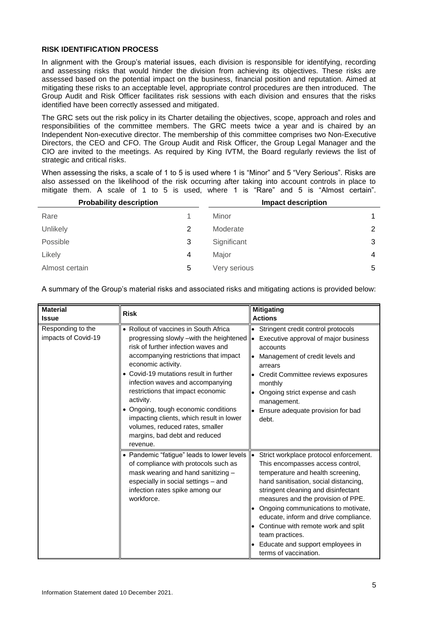## **RISK IDENTIFICATION PROCESS**

In alignment with the Group's material issues, each division is responsible for identifying, recording and assessing risks that would hinder the division from achieving its objectives. These risks are assessed based on the potential impact on the business, financial position and reputation. Aimed at mitigating these risks to an acceptable level, appropriate control procedures are then introduced. The Group Audit and Risk Officer facilitates risk sessions with each division and ensures that the risks identified have been correctly assessed and mitigated.

The GRC sets out the risk policy in its Charter detailing the objectives, scope, approach and roles and responsibilities of the committee members. The GRC meets twice a year and is chaired by an Independent Non-executive director. The membership of this committee comprises two Non-Executive Directors, the CEO and CFO. The Group Audit and Risk Officer, the Group Legal Manager and the CIO are invited to the meetings. As required by King IVTM, the Board regularly reviews the list of strategic and critical risks.

When assessing the risks, a scale of 1 to 5 is used where 1 is "Minor" and 5 "Very Serious". Risks are also assessed on the likelihood of the risk occurring after taking into account controls in place to mitigate them. A scale of 1 to 5 is used, where 1 is "Rare" and 5 is "Almost certain".

| <b>Probability description</b> |   | <b>Impact description</b> |   |
|--------------------------------|---|---------------------------|---|
| Rare                           |   | Minor                     | 1 |
| Unlikely                       | 2 | Moderate                  | 2 |
| Possible                       | 3 | Significant               | 3 |
| Likely                         | 4 | Major                     | 4 |
| Almost certain                 | 5 | Very serious              | 5 |

A summary of the Group's material risks and associated risks and mitigating actions is provided below:

| <b>Material</b>                          | <b>Risk</b>                                                                                                                                                                                                                                                                                                                                                                                                                                                                                | <b>Mitigating</b>                                                                                                                                                                                                                                                                                                                                                                                                                                         |
|------------------------------------------|--------------------------------------------------------------------------------------------------------------------------------------------------------------------------------------------------------------------------------------------------------------------------------------------------------------------------------------------------------------------------------------------------------------------------------------------------------------------------------------------|-----------------------------------------------------------------------------------------------------------------------------------------------------------------------------------------------------------------------------------------------------------------------------------------------------------------------------------------------------------------------------------------------------------------------------------------------------------|
| <b>Issue</b>                             |                                                                                                                                                                                                                                                                                                                                                                                                                                                                                            | <b>Actions</b>                                                                                                                                                                                                                                                                                                                                                                                                                                            |
| Responding to the<br>impacts of Covid-19 | • Rollout of vaccines in South Africa<br>progressing slowly -with the heightened<br>risk of further infection waves and<br>accompanying restrictions that impact<br>economic activity.<br>• Covid-19 mutations result in further<br>infection waves and accompanying<br>restrictions that impact economic<br>activity.<br>• Ongoing, tough economic conditions<br>impacting clients, which result in lower<br>volumes, reduced rates, smaller<br>margins, bad debt and reduced<br>revenue. | Stringent credit control protocols<br>Executive approval of major business<br>I۰<br>accounts<br>Management of credit levels and<br>arrears<br>Credit Committee reviews exposures<br>monthly<br>Ongoing strict expense and cash<br>management.<br>Ensure adequate provision for bad<br>debt.                                                                                                                                                               |
|                                          | • Pandemic "fatigue" leads to lower levels<br>of compliance with protocols such as<br>mask wearing and hand sanitizing -<br>especially in social settings - and<br>infection rates spike among our<br>workforce.                                                                                                                                                                                                                                                                           | Strict workplace protocol enforcement.<br>$\bullet$<br>This encompasses access control,<br>temperature and health screening,<br>hand sanitisation, social distancing,<br>stringent cleaning and disinfectant<br>measures and the provision of PPE.<br>Ongoing communications to motivate,<br>educate, inform and drive compliance.<br>Continue with remote work and split<br>team practices.<br>Educate and support employees in<br>terms of vaccination. |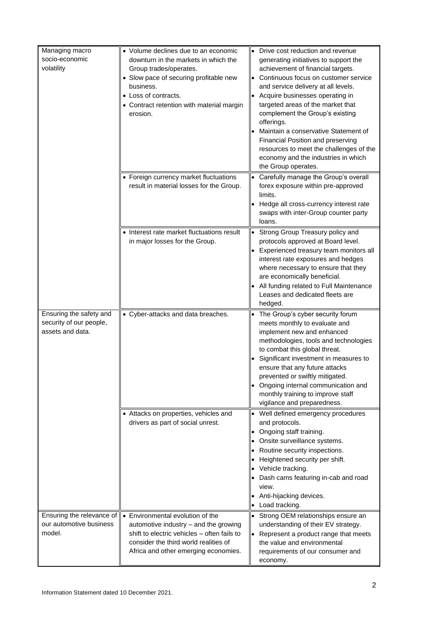| Managing macro<br>socio-economic<br>volatility                         | • Volume declines due to an economic<br>downturn in the markets in which the<br>Group trades/operates.<br>• Slow pace of securing profitable new<br>business.<br>• Loss of contracts.<br>• Contract retention with material margin<br>erosion. | Drive cost reduction and revenue<br>generating initiatives to support the<br>achievement of financial targets.<br>Continuous focus on customer service<br>and service delivery at all levels.<br>Acquire businesses operating in<br>targeted areas of the market that<br>complement the Group's existing<br>offerings.<br>Maintain a conservative Statement of<br>Financial Position and preserving<br>resources to meet the challenges of the<br>economy and the industries in which<br>the Group operates. |
|------------------------------------------------------------------------|------------------------------------------------------------------------------------------------------------------------------------------------------------------------------------------------------------------------------------------------|--------------------------------------------------------------------------------------------------------------------------------------------------------------------------------------------------------------------------------------------------------------------------------------------------------------------------------------------------------------------------------------------------------------------------------------------------------------------------------------------------------------|
|                                                                        | • Foreign currency market fluctuations<br>result in material losses for the Group.                                                                                                                                                             | Carefully manage the Group's overall<br>forex exposure within pre-approved<br>limits.<br>Hedge all cross-currency interest rate<br>swaps with inter-Group counter party<br>loans.                                                                                                                                                                                                                                                                                                                            |
|                                                                        | Interest rate market fluctuations result<br>in major losses for the Group.                                                                                                                                                                     | Strong Group Treasury policy and<br>$\bullet$<br>protocols approved at Board level.<br>Experienced treasury team monitors all<br>interest rate exposures and hedges<br>where necessary to ensure that they<br>are economically beneficial.<br>All funding related to Full Maintenance<br>Leases and dedicated fleets are<br>hedged.                                                                                                                                                                          |
| Ensuring the safety and<br>security of our people,<br>assets and data. | • Cyber-attacks and data breaches.                                                                                                                                                                                                             | The Group's cyber security forum<br>meets monthly to evaluate and<br>implement new and enhanced<br>methodologies, tools and technologies<br>to combat this global threat.<br>Significant investment in measures to<br>ensure that any future attacks<br>prevented or swiftly mitigated.<br>Ongoing internal communication and<br>monthly training to improve staff<br>vigilance and preparedness.                                                                                                            |
|                                                                        | • Attacks on properties, vehicles and<br>drivers as part of social unrest.                                                                                                                                                                     | Well defined emergency procedures<br>$\bullet$<br>and protocols.<br>Ongoing staff training.<br>Onsite surveillance systems.<br>Routine security inspections.<br>Heightened security per shift.<br>Vehicle tracking.<br>Dash cams featuring in-cab and road<br>view.<br>Anti-hijacking devices.<br>Load tracking.                                                                                                                                                                                             |
| Ensuring the relevance of<br>our automotive business<br>model.         | • Environmental evolution of the<br>automotive industry - and the growing<br>shift to electric vehicles - often fails to<br>consider the third world realities of<br>Africa and other emerging economies.                                      | Strong OEM relationships ensure an<br>$\bullet$<br>understanding of their EV strategy.<br>Represent a product range that meets<br>the value and environmental<br>requirements of our consumer and<br>economy.                                                                                                                                                                                                                                                                                                |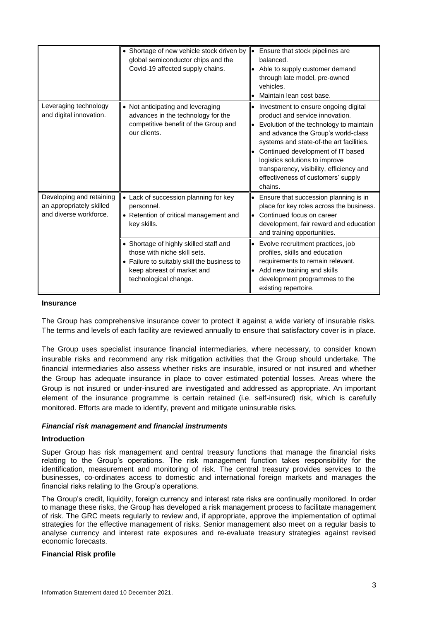|                                                                                | • Shortage of new vehicle stock driven by<br>global semiconductor chips and the<br>Covid-19 affected supply chains.                                                          | Ensure that stock pipelines are<br>۱۰<br>balanced.<br>Able to supply customer demand<br>through late model, pre-owned<br>vehicles.<br>Maintain lean cost base.                                                                                                                                                                                                            |
|--------------------------------------------------------------------------------|------------------------------------------------------------------------------------------------------------------------------------------------------------------------------|---------------------------------------------------------------------------------------------------------------------------------------------------------------------------------------------------------------------------------------------------------------------------------------------------------------------------------------------------------------------------|
| Leveraging technology<br>and digital innovation.                               | • Not anticipating and leveraging<br>advances in the technology for the<br>competitive benefit of the Group and<br>our clients.                                              | Investment to ensure ongoing digital<br>product and service innovation.<br>Evolution of the technology to maintain<br>and advance the Group's world-class<br>systems and state-of-the art facilities.<br>Continued development of IT based<br>logistics solutions to improve<br>transparency, visibility, efficiency and<br>effectiveness of customers' supply<br>chains. |
| Developing and retaining<br>an appropriately skilled<br>and diverse workforce. | • Lack of succession planning for key<br>personnel.<br>• Retention of critical management and<br>key skills.                                                                 | Ensure that succession planning is in<br>place for key roles across the business.<br>Continued focus on career<br>development, fair reward and education<br>and training opportunities.                                                                                                                                                                                   |
|                                                                                | • Shortage of highly skilled staff and<br>those with niche skill sets.<br>• Failure to suitably skill the business to<br>keep abreast of market and<br>technological change. | Evolve recruitment practices, job<br>profiles, skills and education<br>requirements to remain relevant.<br>Add new training and skills<br>development programmes to the<br>existing repertoire.                                                                                                                                                                           |

## **Insurance**

The Group has comprehensive insurance cover to protect it against a wide variety of insurable risks. The terms and levels of each facility are reviewed annually to ensure that satisfactory cover is in place.

The Group uses specialist insurance financial intermediaries, where necessary, to consider known insurable risks and recommend any risk mitigation activities that the Group should undertake. The financial intermediaries also assess whether risks are insurable, insured or not insured and whether the Group has adequate insurance in place to cover estimated potential losses. Areas where the Group is not insured or under-insured are investigated and addressed as appropriate. An important element of the insurance programme is certain retained (i.e. self-insured) risk, which is carefully monitored. Efforts are made to identify, prevent and mitigate uninsurable risks.

## *Financial risk management and financial instruments*

## **Introduction**

Super Group has risk management and central treasury functions that manage the financial risks relating to the Group's operations. The risk management function takes responsibility for the identification, measurement and monitoring of risk. The central treasury provides services to the businesses, co-ordinates access to domestic and international foreign markets and manages the financial risks relating to the Group's operations.

The Group's credit, liquidity, foreign currency and interest rate risks are continually monitored. In order to manage these risks, the Group has developed a risk management process to facilitate management of risk. The GRC meets regularly to review and, if appropriate, approve the implementation of optimal strategies for the effective management of risks. Senior management also meet on a regular basis to analyse currency and interest rate exposures and re-evaluate treasury strategies against revised economic forecasts.

## **Financial Risk profile**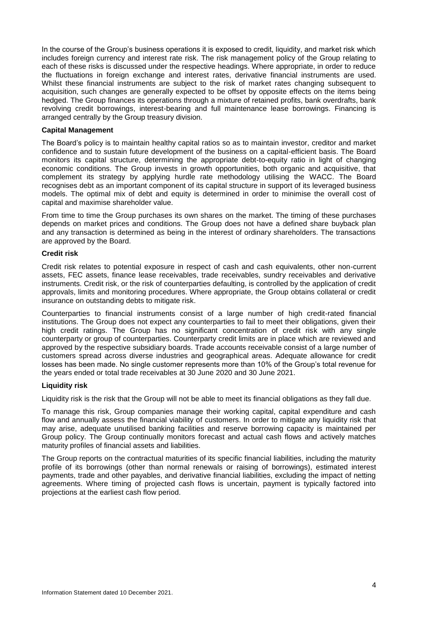In the course of the Group's business operations it is exposed to credit, liquidity, and market risk which includes foreign currency and interest rate risk. The risk management policy of the Group relating to each of these risks is discussed under the respective headings. Where appropriate, in order to reduce the fluctuations in foreign exchange and interest rates, derivative financial instruments are used. Whilst these financial instruments are subject to the risk of market rates changing subsequent to acquisition, such changes are generally expected to be offset by opposite effects on the items being hedged. The Group finances its operations through a mixture of retained profits, bank overdrafts, bank revolving credit borrowings, interest-bearing and full maintenance lease borrowings. Financing is arranged centrally by the Group treasury division.

#### **Capital Management**

The Board's policy is to maintain healthy capital ratios so as to maintain investor, creditor and market confidence and to sustain future development of the business on a capital-efficient basis. The Board monitors its capital structure, determining the appropriate debt-to-equity ratio in light of changing economic conditions. The Group invests in growth opportunities, both organic and acquisitive, that complement its strategy by applying hurdle rate methodology utilising the WACC. The Board recognises debt as an important component of its capital structure in support of its leveraged business models. The optimal mix of debt and equity is determined in order to minimise the overall cost of capital and maximise shareholder value.

From time to time the Group purchases its own shares on the market. The timing of these purchases depends on market prices and conditions. The Group does not have a defined share buyback plan and any transaction is determined as being in the interest of ordinary shareholders. The transactions are approved by the Board.

#### **Credit risk**

Credit risk relates to potential exposure in respect of cash and cash equivalents, other non-current assets, FEC assets, finance lease receivables, trade receivables, sundry receivables and derivative instruments. Credit risk, or the risk of counterparties defaulting, is controlled by the application of credit approvals, limits and monitoring procedures. Where appropriate, the Group obtains collateral or credit insurance on outstanding debts to mitigate risk.

Counterparties to financial instruments consist of a large number of high credit-rated financial institutions. The Group does not expect any counterparties to fail to meet their obligations, given their high credit ratings. The Group has no significant concentration of credit risk with any single counterparty or group of counterparties. Counterparty credit limits are in place which are reviewed and approved by the respective subsidiary boards. Trade accounts receivable consist of a large number of customers spread across diverse industries and geographical areas. Adequate allowance for credit losses has been made. No single customer represents more than 10% of the Group's total revenue for the years ended or total trade receivables at 30 June 2020 and 30 June 2021.

#### **Liquidity risk**

Liquidity risk is the risk that the Group will not be able to meet its financial obligations as they fall due.

To manage this risk, Group companies manage their working capital, capital expenditure and cash flow and annually assess the financial viability of customers. In order to mitigate any liquidity risk that may arise, adequate unutilised banking facilities and reserve borrowing capacity is maintained per Group policy. The Group continually monitors forecast and actual cash flows and actively matches maturity profiles of financial assets and liabilities.

The Group reports on the contractual maturities of its specific financial liabilities, including the maturity profile of its borrowings (other than normal renewals or raising of borrowings), estimated interest payments, trade and other payables, and derivative financial liabilities, excluding the impact of netting agreements. Where timing of projected cash flows is uncertain, payment is typically factored into projections at the earliest cash flow period.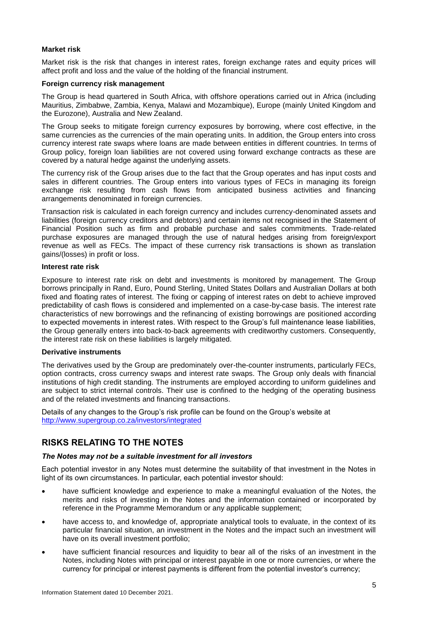## **Market risk**

Market risk is the risk that changes in interest rates, foreign exchange rates and equity prices will affect profit and loss and the value of the holding of the financial instrument.

## **Foreign currency risk management**

The Group is head quartered in South Africa, with offshore operations carried out in Africa (including Mauritius, Zimbabwe, Zambia, Kenya, Malawi and Mozambique), Europe (mainly United Kingdom and the Eurozone), Australia and New Zealand.

The Group seeks to mitigate foreign currency exposures by borrowing, where cost effective, in the same currencies as the currencies of the main operating units. In addition, the Group enters into cross currency interest rate swaps where loans are made between entities in different countries. In terms of Group policy, foreign loan liabilities are not covered using forward exchange contracts as these are covered by a natural hedge against the underlying assets.

The currency risk of the Group arises due to the fact that the Group operates and has input costs and sales in different countries. The Group enters into various types of FECs in managing its foreign exchange risk resulting from cash flows from anticipated business activities and financing arrangements denominated in foreign currencies.

Transaction risk is calculated in each foreign currency and includes currency-denominated assets and liabilities (foreign currency creditors and debtors) and certain items not recognised in the Statement of Financial Position such as firm and probable purchase and sales commitments. Trade-related purchase exposures are managed through the use of natural hedges arising from foreign/export revenue as well as FECs. The impact of these currency risk transactions is shown as translation gains/(losses) in profit or loss.

#### **Interest rate risk**

Exposure to interest rate risk on debt and investments is monitored by management. The Group borrows principally in Rand, Euro, Pound Sterling, United States Dollars and Australian Dollars at both fixed and floating rates of interest. The fixing or capping of interest rates on debt to achieve improved predictability of cash flows is considered and implemented on a case-by-case basis. The interest rate characteristics of new borrowings and the refinancing of existing borrowings are positioned according to expected movements in interest rates. With respect to the Group's full maintenance lease liabilities, the Group generally enters into back-to-back agreements with creditworthy customers. Consequently, the interest rate risk on these liabilities is largely mitigated.

## **Derivative instruments**

The derivatives used by the Group are predominately over-the-counter instruments, particularly FECs, option contracts, cross currency swaps and interest rate swaps. The Group only deals with financial institutions of high credit standing. The instruments are employed according to uniform guidelines and are subject to strict internal controls. Their use is confined to the hedging of the operating business and of the related investments and financing transactions.

Details of any changes to the Group's risk profile can be found on the Group's website at <http://www.supergroup.co.za/investors/integrated>

## **RISKS RELATING TO THE NOTES**

## *The Notes may not be a suitable investment for all investors*

Each potential investor in any Notes must determine the suitability of that investment in the Notes in light of its own circumstances. In particular, each potential investor should:

- have sufficient knowledge and experience to make a meaningful evaluation of the Notes, the merits and risks of investing in the Notes and the information contained or incorporated by reference in the Programme Memorandum or any applicable supplement;
- have access to, and knowledge of, appropriate analytical tools to evaluate, in the context of its particular financial situation, an investment in the Notes and the impact such an investment will have on its overall investment portfolio;
- have sufficient financial resources and liquidity to bear all of the risks of an investment in the Notes, including Notes with principal or interest payable in one or more currencies, or where the currency for principal or interest payments is different from the potential investor's currency;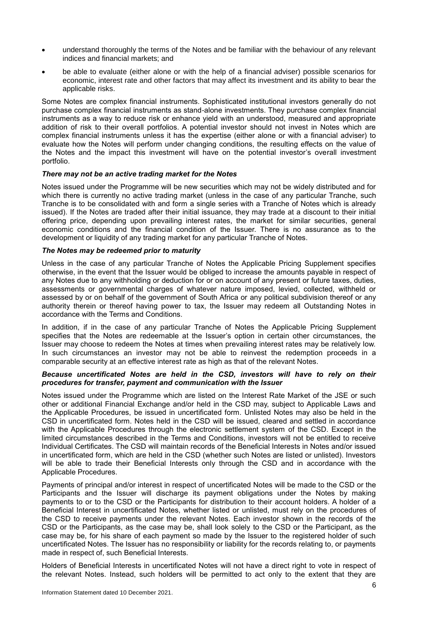- understand thoroughly the terms of the Notes and be familiar with the behaviour of any relevant indices and financial markets; and
- be able to evaluate (either alone or with the help of a financial adviser) possible scenarios for economic, interest rate and other factors that may affect its investment and its ability to bear the applicable risks.

Some Notes are complex financial instruments. Sophisticated institutional investors generally do not purchase complex financial instruments as stand-alone investments. They purchase complex financial instruments as a way to reduce risk or enhance yield with an understood, measured and appropriate addition of risk to their overall portfolios. A potential investor should not invest in Notes which are complex financial instruments unless it has the expertise (either alone or with a financial adviser) to evaluate how the Notes will perform under changing conditions, the resulting effects on the value of the Notes and the impact this investment will have on the potential investor's overall investment portfolio.

## *There may not be an active trading market for the Notes*

Notes issued under the Programme will be new securities which may not be widely distributed and for which there is currently no active trading market (unless in the case of any particular Tranche, such Tranche is to be consolidated with and form a single series with a Tranche of Notes which is already issued). If the Notes are traded after their initial issuance, they may trade at a discount to their initial offering price, depending upon prevailing interest rates, the market for similar securities, general economic conditions and the financial condition of the Issuer. There is no assurance as to the development or liquidity of any trading market for any particular Tranche of Notes.

## *The Notes may be redeemed prior to maturity*

Unless in the case of any particular Tranche of Notes the Applicable Pricing Supplement specifies otherwise, in the event that the Issuer would be obliged to increase the amounts payable in respect of any Notes due to any withholding or deduction for or on account of any present or future taxes, duties, assessments or governmental charges of whatever nature imposed, levied, collected, withheld or assessed by or on behalf of the government of South Africa or any political subdivision thereof or any authority therein or thereof having power to tax, the Issuer may redeem all Outstanding Notes in accordance with the Terms and Conditions.

In addition, if in the case of any particular Tranche of Notes the Applicable Pricing Supplement specifies that the Notes are redeemable at the Issuer's option in certain other circumstances, the Issuer may choose to redeem the Notes at times when prevailing interest rates may be relatively low. In such circumstances an investor may not be able to reinvest the redemption proceeds in a comparable security at an effective interest rate as high as that of the relevant Notes.

## *Because uncertificated Notes are held in the CSD, investors will have to rely on their procedures for transfer, payment and communication with the Issuer*

Notes issued under the Programme which are listed on the Interest Rate Market of the JSE or such other or additional Financial Exchange and/or held in the CSD may, subject to Applicable Laws and the Applicable Procedures, be issued in uncertificated form. Unlisted Notes may also be held in the CSD in uncertificated form. Notes held in the CSD will be issued, cleared and settled in accordance with the Applicable Procedures through the electronic settlement system of the CSD. Except in the limited circumstances described in the Terms and Conditions, investors will not be entitled to receive Individual Certificates. The CSD will maintain records of the Beneficial Interests in Notes and/or issued in uncertificated form, which are held in the CSD (whether such Notes are listed or unlisted). Investors will be able to trade their Beneficial Interests only through the CSD and in accordance with the Applicable Procedures.

Payments of principal and/or interest in respect of uncertificated Notes will be made to the CSD or the Participants and the Issuer will discharge its payment obligations under the Notes by making payments to or to the CSD or the Participants for distribution to their account holders. A holder of a Beneficial Interest in uncertificated Notes, whether listed or unlisted, must rely on the procedures of the CSD to receive payments under the relevant Notes. Each investor shown in the records of the CSD or the Participants, as the case may be, shall look solely to the CSD or the Participant, as the case may be, for his share of each payment so made by the Issuer to the registered holder of such uncertificated Notes. The Issuer has no responsibility or liability for the records relating to, or payments made in respect of, such Beneficial Interests.

Holders of Beneficial Interests in uncertificated Notes will not have a direct right to vote in respect of the relevant Notes. Instead, such holders will be permitted to act only to the extent that they are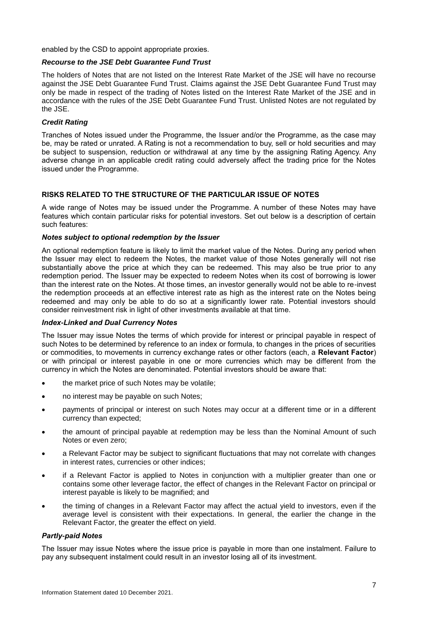enabled by the CSD to appoint appropriate proxies.

## *Recourse to the JSE Debt Guarantee Fund Trust*

The holders of Notes that are not listed on the Interest Rate Market of the JSE will have no recourse against the JSE Debt Guarantee Fund Trust. Claims against the JSE Debt Guarantee Fund Trust may only be made in respect of the trading of Notes listed on the Interest Rate Market of the JSE and in accordance with the rules of the JSE Debt Guarantee Fund Trust. Unlisted Notes are not regulated by the JSE.

## *Credit Rating*

Tranches of Notes issued under the Programme, the Issuer and/or the Programme, as the case may be, may be rated or unrated. A Rating is not a recommendation to buy, sell or hold securities and may be subject to suspension, reduction or withdrawal at any time by the assigning Rating Agency. Any adverse change in an applicable credit rating could adversely affect the trading price for the Notes issued under the Programme.

## **RISKS RELATED TO THE STRUCTURE OF THE PARTICULAR ISSUE OF NOTES**

A wide range of Notes may be issued under the Programme. A number of these Notes may have features which contain particular risks for potential investors. Set out below is a description of certain such features:

## *Notes subject to optional redemption by the Issuer*

An optional redemption feature is likely to limit the market value of the Notes. During any period when the Issuer may elect to redeem the Notes, the market value of those Notes generally will not rise substantially above the price at which they can be redeemed. This may also be true prior to any redemption period. The Issuer may be expected to redeem Notes when its cost of borrowing is lower than the interest rate on the Notes. At those times, an investor generally would not be able to re-invest the redemption proceeds at an effective interest rate as high as the interest rate on the Notes being redeemed and may only be able to do so at a significantly lower rate. Potential investors should consider reinvestment risk in light of other investments available at that time.

## *Index-Linked and Dual Currency Notes*

The Issuer may issue Notes the terms of which provide for interest or principal payable in respect of such Notes to be determined by reference to an index or formula, to changes in the prices of securities or commodities, to movements in currency exchange rates or other factors (each, a **Relevant Factor**) or with principal or interest payable in one or more currencies which may be different from the currency in which the Notes are denominated. Potential investors should be aware that:

- the market price of such Notes may be volatile;
- no interest may be payable on such Notes;
- payments of principal or interest on such Notes may occur at a different time or in a different currency than expected;
- the amount of principal payable at redemption may be less than the Nominal Amount of such Notes or even zero;
- a Relevant Factor may be subject to significant fluctuations that may not correlate with changes in interest rates, currencies or other indices;
- if a Relevant Factor is applied to Notes in conjunction with a multiplier greater than one or contains some other leverage factor, the effect of changes in the Relevant Factor on principal or interest payable is likely to be magnified; and
- the timing of changes in a Relevant Factor may affect the actual yield to investors, even if the average level is consistent with their expectations. In general, the earlier the change in the Relevant Factor, the greater the effect on yield.

## *Partly-paid Notes*

The Issuer may issue Notes where the issue price is payable in more than one instalment. Failure to pay any subsequent instalment could result in an investor losing all of its investment.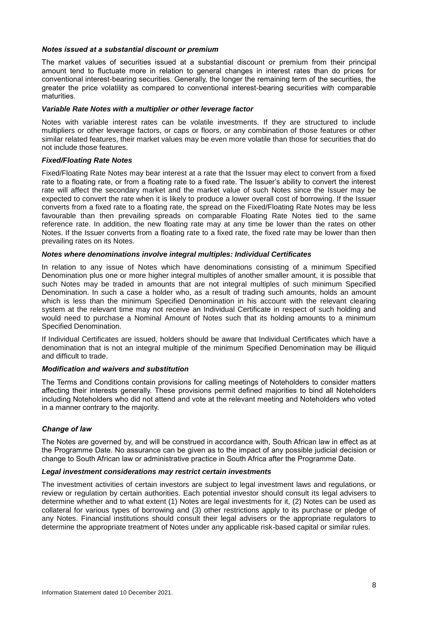## *Notes issued at a substantial discount or premium*

The market values of securities issued at a substantial discount or premium from their principal amount tend to fluctuate more in relation to general changes in interest rates than do prices for conventional interest-bearing securities. Generally, the longer the remaining term of the securities, the greater the price volatility as compared to conventional interest-bearing securities with comparable maturities.

## *Variable Rate Notes with a multiplier or other leverage factor*

Notes with variable interest rates can be volatile investments. If they are structured to include multipliers or other leverage factors, or caps or floors, or any combination of those features or other similar related features, their market values may be even more volatile than those for securities that do not include those features.

## *Fixed/Floating Rate Notes*

Fixed/Floating Rate Notes may bear interest at a rate that the Issuer may elect to convert from a fixed rate to a floating rate, or from a floating rate to a fixed rate. The Issuer's ability to convert the interest rate will affect the secondary market and the market value of such Notes since the Issuer may be expected to convert the rate when it is likely to produce a lower overall cost of borrowing. If the Issuer converts from a fixed rate to a floating rate, the spread on the Fixed/Floating Rate Notes may be less favourable than then prevailing spreads on comparable Floating Rate Notes tied to the same reference rate. In addition, the new floating rate may at any time be lower than the rates on other Notes. If the Issuer converts from a floating rate to a fixed rate, the fixed rate may be lower than then prevailing rates on its Notes.

## *Notes where denominations involve integral multiples: Individual Certificates*

In relation to any issue of Notes which have denominations consisting of a minimum Specified Denomination plus one or more higher integral multiples of another smaller amount, it is possible that such Notes may be traded in amounts that are not integral multiples of such minimum Specified Denomination. In such a case a holder who, as a result of trading such amounts, holds an amount which is less than the minimum Specified Denomination in his account with the relevant clearing system at the relevant time may not receive an Individual Certificate in respect of such holding and would need to purchase a Nominal Amount of Notes such that its holding amounts to a minimum Specified Denomination.

If Individual Certificates are issued, holders should be aware that Individual Certificates which have a denomination that is not an integral multiple of the minimum Specified Denomination may be illiquid and difficult to trade.

## *Modification and waivers and substitution*

The Terms and Conditions contain provisions for calling meetings of Noteholders to consider matters affecting their interests generally. These provisions permit defined majorities to bind all Noteholders including Noteholders who did not attend and vote at the relevant meeting and Noteholders who voted in a manner contrary to the majority.

## *Change of law*

The Notes are governed by, and will be construed in accordance with, South African law in effect as at the Programme Date. No assurance can be given as to the impact of any possible judicial decision or change to South African law or administrative practice in South Africa after the Programme Date.

## *Legal investment considerations may restrict certain investments*

The investment activities of certain investors are subject to legal investment laws and regulations, or review or regulation by certain authorities. Each potential investor should consult its legal advisers to determine whether and to what extent (1) Notes are legal investments for it, (2) Notes can be used as collateral for various types of borrowing and (3) other restrictions apply to its purchase or pledge of any Notes. Financial institutions should consult their legal advisers or the appropriate regulators to determine the appropriate treatment of Notes under any applicable risk-based capital or similar rules.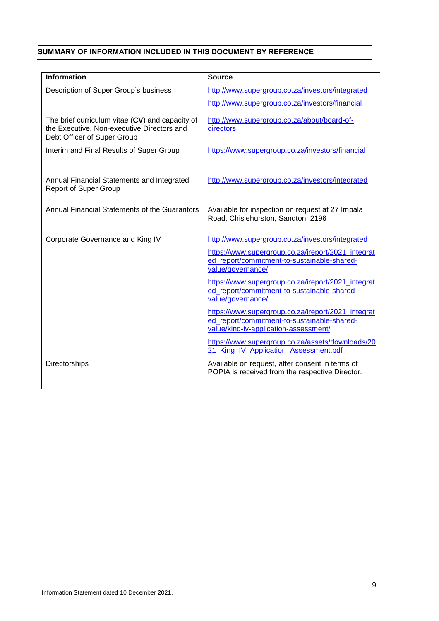## <span id="page-13-0"></span>**SUMMARY OF INFORMATION INCLUDED IN THIS DOCUMENT BY REFERENCE**

| <b>Information</b>                                                                            | <b>Source</b>                                                                                      |
|-----------------------------------------------------------------------------------------------|----------------------------------------------------------------------------------------------------|
| Description of Super Group's business                                                         | http://www.supergroup.co.za/investors/integrated                                                   |
|                                                                                               | http://www.supergroup.co.za/investors/financial                                                    |
| The brief curriculum vitae (CV) and capacity of<br>the Executive, Non-executive Directors and | http://www.supergroup.co.za/about/board-of-                                                        |
| Debt Officer of Super Group                                                                   | directors                                                                                          |
| Interim and Final Results of Super Group                                                      | https://www.supergroup.co.za/investors/financial                                                   |
|                                                                                               |                                                                                                    |
| Annual Financial Statements and Integrated<br><b>Report of Super Group</b>                    | http://www.supergroup.co.za/investors/integrated                                                   |
|                                                                                               |                                                                                                    |
| Annual Financial Statements of the Guarantors                                                 | Available for inspection on request at 27 Impala<br>Road, Chislehurston, Sandton, 2196             |
|                                                                                               |                                                                                                    |
| Corporate Governance and King IV                                                              | http://www.supergroup.co.za/investors/integrated                                                   |
|                                                                                               | https://www.supergroup.co.za/ireport/2021_integrat<br>ed_report/commitment-to-sustainable-shared-  |
|                                                                                               | value/governance/                                                                                  |
|                                                                                               | https://www.supergroup.co.za/ireport/2021 integrat                                                 |
|                                                                                               | ed_report/commitment-to-sustainable-shared-<br>value/governance/                                   |
|                                                                                               | https://www.supergroup.co.za/ireport/2021_integrat                                                 |
|                                                                                               | ed_report/commitment-to-sustainable-shared-<br>value/king-iv-application-assessment/               |
|                                                                                               | https://www.supergroup.co.za/assets/downloads/20                                                   |
|                                                                                               | 21 King IV Application Assessment.pdf                                                              |
| Directorships                                                                                 | Available on request, after consent in terms of<br>POPIA is received from the respective Director. |
|                                                                                               |                                                                                                    |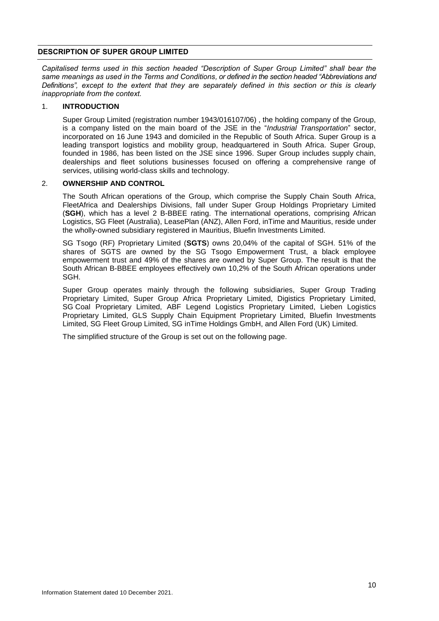## <span id="page-14-0"></span>**DESCRIPTION OF SUPER GROUP LIMITED**

*Capitalised terms used in this section headed "Description of Super Group Limited" shall bear the same meanings as used in the Terms and Conditions, or defined in the section headed "Abbreviations and Definitions", except to the extent that they are separately defined in this section or this is clearly inappropriate from the context.*

#### 1. **INTRODUCTION**

Super Group Limited (registration number 1943/016107/06) , the holding company of the Group, is a company listed on the main board of the JSE in the "*Industrial Transportation*" sector, incorporated on 16 June 1943 and domiciled in the Republic of South Africa. Super Group is a leading transport logistics and mobility group, headquartered in South Africa. Super Group, founded in 1986, has been listed on the JSE since 1996. Super Group includes supply chain, dealerships and fleet solutions businesses focused on offering a comprehensive range of services, utilising world-class skills and technology.

## 2. **OWNERSHIP AND CONTROL**

The South African operations of the Group, which comprise the Supply Chain South Africa, FleetAfrica and Dealerships Divisions, fall under Super Group Holdings Proprietary Limited (**SGH**), which has a level 2 B-BBEE rating. The international operations, comprising African Logistics, SG Fleet (Australia), LeasePlan (ANZ), Allen Ford, inTime and Mauritius, reside under the wholly-owned subsidiary registered in Mauritius, Bluefin Investments Limited.

SG Tsogo (RF) Proprietary Limited (**SGTS**) owns 20,04% of the capital of SGH. 51% of the shares of SGTS are owned by the SG Tsogo Empowerment Trust, a black employee empowerment trust and 49% of the shares are owned by Super Group. The result is that the South African B-BBEE employees effectively own 10,2% of the South African operations under SGH.

Super Group operates mainly through the following subsidiaries, Super Group Trading Proprietary Limited, Super Group Africa Proprietary Limited, Digistics Proprietary Limited, SG Coal Proprietary Limited, ABF Legend Logistics Proprietary Limited, Lieben Logistics Proprietary Limited, GLS Supply Chain Equipment Proprietary Limited, Bluefin Investments Limited, SG Fleet Group Limited, SG inTime Holdings GmbH, and Allen Ford (UK) Limited.

The simplified structure of the Group is set out on the following page.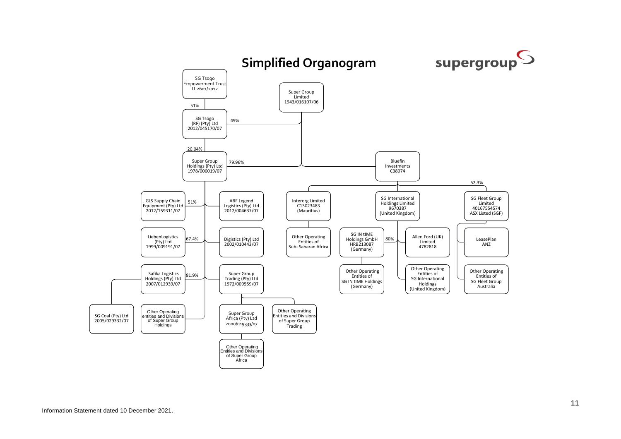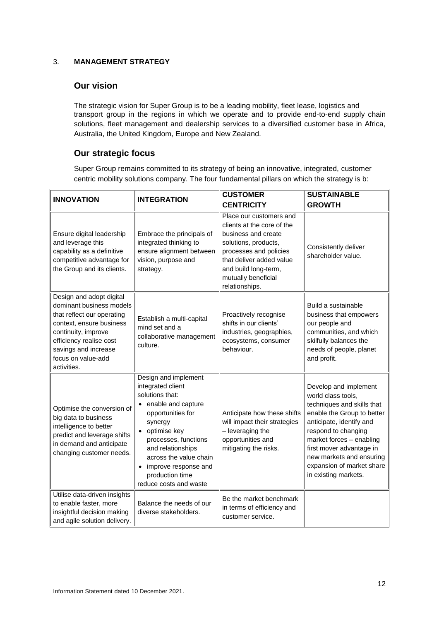## 3. **MANAGEMENT STRATEGY**

# **Our vision**

The strategic vision for Super Group is to be a leading mobility, fleet lease, logistics and transport group in the regions in which we operate and to provide end-to-end supply chain solutions, fleet management and dealership services to a diversified customer base in Africa, Australia, the United Kingdom, Europe and New Zealand.

# **Our strategic focus**

Super Group remains committed to its strategy of being an innovative, integrated, customer centric mobility solutions company. The four fundamental pillars on which the strategy is b:

| <b>INNOVATION</b>                                                                                                                                                                                                             | <b>INTEGRATION</b>                                                                                                                                                                                                                                                             | <b>CUSTOMER</b>                                                                                                                                                                                                             | <b>SUSTAINABLE</b>                                                                                                                                                                                                                                                                                  |
|-------------------------------------------------------------------------------------------------------------------------------------------------------------------------------------------------------------------------------|--------------------------------------------------------------------------------------------------------------------------------------------------------------------------------------------------------------------------------------------------------------------------------|-----------------------------------------------------------------------------------------------------------------------------------------------------------------------------------------------------------------------------|-----------------------------------------------------------------------------------------------------------------------------------------------------------------------------------------------------------------------------------------------------------------------------------------------------|
|                                                                                                                                                                                                                               |                                                                                                                                                                                                                                                                                | <b>CENTRICITY</b>                                                                                                                                                                                                           | <b>GROWTH</b>                                                                                                                                                                                                                                                                                       |
| Ensure digital leadership<br>and leverage this<br>capability as a definitive<br>competitive advantage for<br>the Group and its clients.                                                                                       | Embrace the principals of<br>integrated thinking to<br>ensure alignment between<br>vision, purpose and<br>strategy.                                                                                                                                                            | Place our customers and<br>clients at the core of the<br>business and create<br>solutions, products,<br>processes and policies<br>that deliver added value<br>and build long-term,<br>mutually beneficial<br>relationships. | Consistently deliver<br>shareholder value.                                                                                                                                                                                                                                                          |
| Design and adopt digital<br>dominant business models<br>that reflect our operating<br>context, ensure business<br>continuity, improve<br>efficiency realise cost<br>savings and increase<br>focus on value-add<br>activities. | Establish a multi-capital<br>mind set and a<br>collaborative management<br>culture.                                                                                                                                                                                            | Proactively recognise<br>shifts in our clients'<br>industries, geographies,<br>ecosystems, consumer<br>behaviour.                                                                                                           | Build a sustainable<br>business that empowers<br>our people and<br>communities, and which<br>skilfully balances the<br>needs of people, planet<br>and profit.                                                                                                                                       |
| Optimise the conversion of<br>big data to business<br>intelligence to better<br>predict and leverage shifts<br>in demand and anticipate<br>changing customer needs.                                                           | Design and implement<br>integrated client<br>solutions that:<br>enable and capture<br>opportunities for<br>synergy<br>optimise key<br>processes, functions<br>and relationships<br>across the value chain<br>improve response and<br>production time<br>reduce costs and waste | Anticipate how these shifts<br>will impact their strategies<br>- leveraging the<br>opportunities and<br>mitigating the risks.                                                                                               | Develop and implement<br>world class tools,<br>techniques and skills that<br>enable the Group to better<br>anticipate, identify and<br>respond to changing<br>market forces - enabling<br>first mover advantage in<br>new markets and ensuring<br>expansion of market share<br>in existing markets. |
| Utilise data-driven insights<br>to enable faster, more<br>insightful decision making<br>and agile solution delivery.                                                                                                          | Balance the needs of our<br>diverse stakeholders.                                                                                                                                                                                                                              | Be the market benchmark<br>in terms of efficiency and<br>customer service.                                                                                                                                                  |                                                                                                                                                                                                                                                                                                     |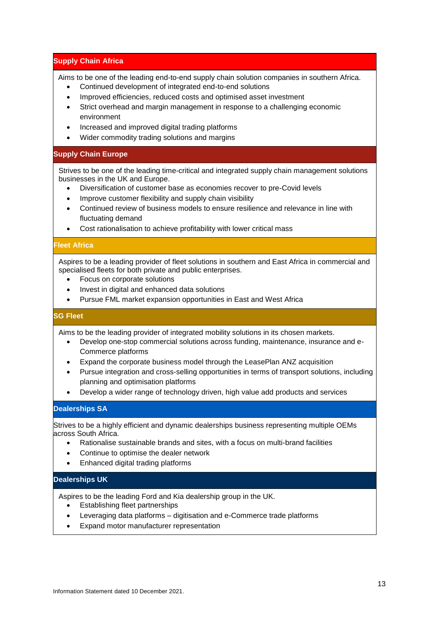## **Supply Chain Africa**

Aims to be one of the leading end-to-end supply chain solution companies in southern Africa.

- Continued development of integrated end-to-end solutions
- Improved efficiencies, reduced costs and optimised asset investment
- Strict overhead and margin management in response to a challenging economic environment
- Increased and improved digital trading platforms
- Wider commodity trading solutions and margins

## **Supply Chain Europe**

Strives to be one of the leading time-critical and integrated supply chain management solutions businesses in the UK and Europe.

- Diversification of customer base as economies recover to pre-Covid levels
- Improve customer flexibility and supply chain visibility
- Continued review of business models to ensure resilience and relevance in line with fluctuating demand
- Cost rationalisation to achieve profitability with lower critical mass

## **Fleet Africa**

Aspires to be a leading provider of fleet solutions in southern and East Africa in commercial and specialised fleets for both private and public enterprises.

- Focus on corporate solutions
- Invest in digital and enhanced data solutions
- Pursue FML market expansion opportunities in East and West Africa

## **SG Fleet**

Aims to be the leading provider of integrated mobility solutions in its chosen markets.

- Develop one-stop commercial solutions across funding, maintenance, insurance and e-Commerce platforms
- Expand the corporate business model through the LeasePlan ANZ acquisition
- Pursue integration and cross-selling opportunities in terms of transport solutions, including planning and optimisation platforms
- Develop a wider range of technology driven, high value add products and services

## **Dealerships SA**

Strives to be a highly efficient and dynamic dealerships business representing multiple OEMs across South Africa.

- Rationalise sustainable brands and sites, with a focus on multi-brand facilities
- Continue to optimise the dealer network
- Enhanced digital trading platforms

## **Dealerships UK**

Aspires to be the leading Ford and Kia dealership group in the UK.

- Establishing fleet partnerships
- Leveraging data platforms digitisation and e-Commerce trade platforms
- Expand motor manufacturer representation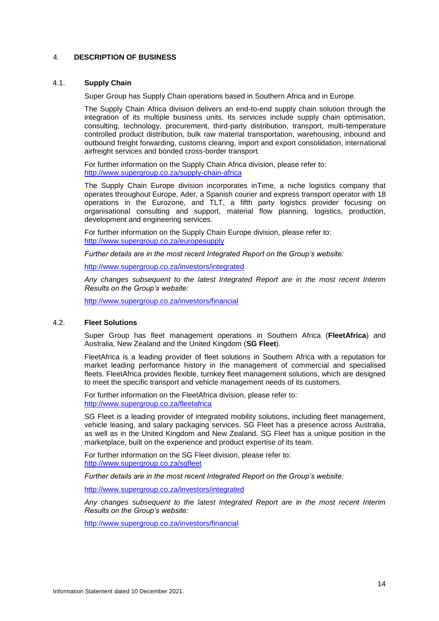## 4. **DESCRIPTION OF BUSINESS**

#### 4.1. **Supply Chain**

Super Group has Supply Chain operations based in Southern Africa and in Europe.

The Supply Chain Africa division delivers an end-to-end supply chain solution through the integration of its multiple business units. Its services include supply chain optimisation, consulting, technology, procurement, third-party distribution, transport, multi-temperature controlled product distribution, bulk raw material transportation, warehousing, inbound and outbound freight forwarding, customs clearing, import and export consolidation, international airfreight services and bonded cross-border transport.

For further information on the Supply Chain Africa division, please refer to: <http://www.supergroup.co.za/supply-chain-africa>

The Supply Chain Europe division incorporates inTime, a niche logistics company that operates throughout Europe, Ader, a Spanish courier and express transport operator with 18 operations in the Eurozone, and TLT, a fifth party logistics provider focusing on organisational consulting and support, material flow planning, logistics, production, development and engineering services.

For further information on the Supply Chain Europe division, please refer to: <http://www.supergroup.co.za/europesupply>

*Further details are in the most recent Integrated Report on the Group's website:*

<http://www.supergroup.co.za/investors/integrated>

*Any changes subsequent to the latest Integrated Report are in the most recent Interim Results on the Group's website:*

<http://www.supergroup.co.za/investors/financial>

## 4.2. **Fleet Solutions**

Super Group has fleet management operations in Southern Africa (**FleetAfrica**) and Australia, New Zealand and the United Kingdom (**SG Fleet**).

FleetAfrica is a leading provider of fleet solutions in Southern Africa with a reputation for market leading performance history in the management of commercial and specialised fleets. FleetAfrica provides flexible, turnkey fleet management solutions, which are designed to meet the specific transport and vehicle management needs of its customers.

For further information on the FleetAfrica division, please refer to: <http://www.supergroup.co.za/fleetafrica>

SG Fleet is a leading provider of integrated mobility solutions, including fleet management, vehicle leasing, and salary packaging services. SG Fleet has a presence across Australia, as well as in the United Kingdom and New Zealand. SG Fleet has a unique position in the marketplace, built on the experience and product expertise of its team.

For further information on the SG Fleet division, please refer to: <http://www.supergroup.co.za/sgfleet>

*Further details are in the most recent Integrated Report on the Group's website:*

<http://www.supergroup.co.za/investors/integrated>

*Any changes subsequent to the latest Integrated Report are in the most recent Interim Results on the Group's website:*

<http://www.supergroup.co.za/investors/financial>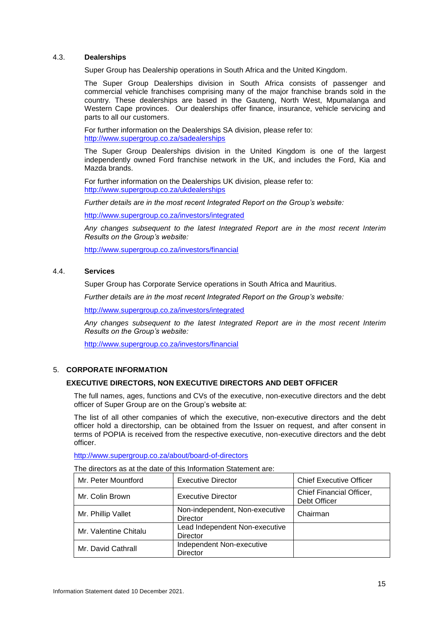## 4.3. **Dealerships**

Super Group has Dealership operations in South Africa and the United Kingdom.

The Super Group Dealerships division in South Africa consists of passenger and commercial vehicle franchises comprising many of the major franchise brands sold in the country. These dealerships are based in the Gauteng, North West, Mpumalanga and Western Cape provinces. Our dealerships offer finance, insurance, vehicle servicing and parts to all our customers.

For further information on the Dealerships SA division, please refer to: <http://www.supergroup.co.za/sadealerships>

The Super Group Dealerships division in the United Kingdom is one of the largest independently owned Ford franchise network in the UK, and includes the Ford, Kia and Mazda brands.

For further information on the Dealerships UK division, please refer to: <http://www.supergroup.co.za/ukdealerships>

*Further details are in the most recent Integrated Report on the Group's website:*

<http://www.supergroup.co.za/investors/integrated>

*Any changes subsequent to the latest Integrated Report are in the most recent Interim Results on the Group's website:*

<http://www.supergroup.co.za/investors/financial>

#### 4.4. **Services**

Super Group has Corporate Service operations in South Africa and Mauritius.

*Further details are in the most recent Integrated Report on the Group's website:*

<http://www.supergroup.co.za/investors/integrated>

*Any changes subsequent to the latest Integrated Report are in the most recent Interim Results on the Group's website:*

<http://www.supergroup.co.za/investors/financial>

## 5. **CORPORATE INFORMATION**

## **EXECUTIVE DIRECTORS, NON EXECUTIVE DIRECTORS AND DEBT OFFICER**

The full names, ages, functions and CVs of the executive, non-executive directors and the debt officer of Super Group are on the Group's website at:

The list of all other companies of which the executive, non-executive directors and the debt officer hold a directorship, can be obtained from the Issuer on request, and after consent in terms of POPIA is received from the respective executive, non-executive directors and the debt officer.

<http://www.supergroup.co.za/about/board-of-directors>

| The directors as at the date of this Information Statement are: |  |
|-----------------------------------------------------------------|--|
|-----------------------------------------------------------------|--|

| Mr. Peter Mountford   | <b>Executive Director</b>                         | <b>Chief Executive Officer</b>           |
|-----------------------|---------------------------------------------------|------------------------------------------|
| Mr. Colin Brown       | <b>Executive Director</b>                         | Chief Financial Officer,<br>Debt Officer |
| Mr. Phillip Vallet    | Non-independent, Non-executive<br><b>Director</b> | Chairman                                 |
| Mr. Valentine Chitalu | Lead Independent Non-executive<br>Director        |                                          |
| Mr. David Cathrall    | Independent Non-executive<br>Director             |                                          |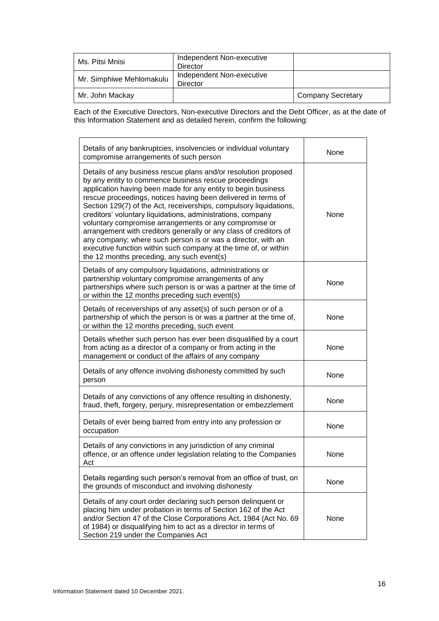| Ms. Pitsi Mnisi          | Independent Non-executive<br>Director |                          |
|--------------------------|---------------------------------------|--------------------------|
| Mr. Simphiwe Mehlomakulu | Independent Non-executive<br>Director |                          |
| Mr. John Mackay          |                                       | <b>Company Secretary</b> |

Each of the Executive Directors, Non-executive Directors and the Debt Officer, as at the date of this Information Statement and as detailed herein, confirm the following:

| Details of any bankruptcies, insolvencies or individual voluntary<br>compromise arrangements of such person                                                                                                                                                                                                                                                                                                                                                                                                                                                                                                                                                                                                      | None        |
|------------------------------------------------------------------------------------------------------------------------------------------------------------------------------------------------------------------------------------------------------------------------------------------------------------------------------------------------------------------------------------------------------------------------------------------------------------------------------------------------------------------------------------------------------------------------------------------------------------------------------------------------------------------------------------------------------------------|-------------|
| Details of any business rescue plans and/or resolution proposed<br>by any entity to commence business rescue proceedings<br>application having been made for any entity to begin business<br>rescue proceedings, notices having been delivered in terms of<br>Section 129(7) of the Act, receiverships, compulsory liquidations,<br>creditors' voluntary liquidations, administrations, company<br>voluntary compromise arrangements or any compromise or<br>arrangement with creditors generally or any class of creditors of<br>any company; where such person is or was a director, with an<br>executive function within such company at the time of, or within<br>the 12 months preceding, any such event(s) | None        |
| Details of any compulsory liquidations, administrations or<br>partnership voluntary compromise arrangements of any<br>partnerships where such person is or was a partner at the time of<br>or within the 12 months preceding such event(s)                                                                                                                                                                                                                                                                                                                                                                                                                                                                       | None        |
| Details of receiverships of any asset(s) of such person or of a<br>partnership of which the person is or was a partner at the time of,<br>or within the 12 months preceding, such event                                                                                                                                                                                                                                                                                                                                                                                                                                                                                                                          | None        |
| Details whether such person has ever been disqualified by a court<br>from acting as a director of a company or from acting in the<br>management or conduct of the affairs of any company                                                                                                                                                                                                                                                                                                                                                                                                                                                                                                                         | None        |
| Details of any offence involving dishonesty committed by such<br>person                                                                                                                                                                                                                                                                                                                                                                                                                                                                                                                                                                                                                                          | None        |
| Details of any convictions of any offence resulting in dishonesty,<br>fraud, theft, forgery, perjury, misrepresentation or embezzlement                                                                                                                                                                                                                                                                                                                                                                                                                                                                                                                                                                          | None        |
| Details of ever being barred from entry into any profession or<br>occupation                                                                                                                                                                                                                                                                                                                                                                                                                                                                                                                                                                                                                                     | None        |
| Details of any convictions in any jurisdiction of any criminal<br>offence, or an offence under legislation relating to the Companies<br>Act                                                                                                                                                                                                                                                                                                                                                                                                                                                                                                                                                                      | None        |
| Details regarding such person's removal from an office of trust, on<br>the grounds of misconduct and involving dishonesty                                                                                                                                                                                                                                                                                                                                                                                                                                                                                                                                                                                        | None        |
| Details of any court order declaring such person delinquent or<br>placing him under probation in terms of Section 162 of the Act<br>and/or Section 47 of the Close Corporations Act, 1984 (Act No. 69<br>of 1984) or disqualifying him to act as a director in terms of<br>Section 219 under the Companies Act                                                                                                                                                                                                                                                                                                                                                                                                   | <b>None</b> |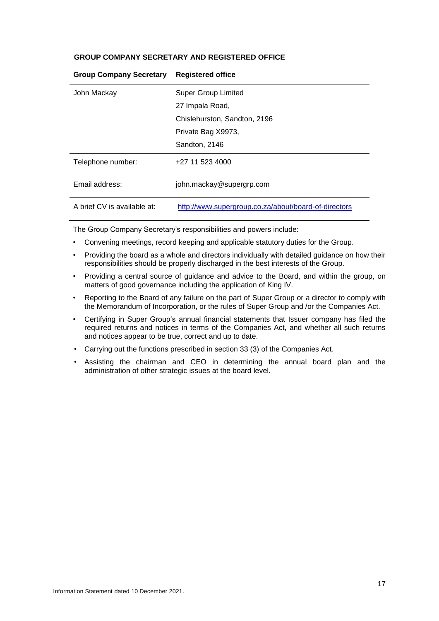## **GROUP COMPANY SECRETARY AND REGISTERED OFFICE**

| John Mackay                 | Super Group Limited                                  |
|-----------------------------|------------------------------------------------------|
|                             | 27 Impala Road,                                      |
|                             | Chislehurston, Sandton, 2196                         |
|                             | Private Bag X9973,                                   |
|                             | Sandton, 2146                                        |
| Telephone number:           | +27 11 523 4000                                      |
| Email address:              | john.mackay@supergrp.com                             |
| A brief CV is available at: | http://www.supergroup.co.za/about/board-of-directors |

## **Group Company Secretary Registered office**

The Group Company Secretary's responsibilities and powers include:

- Convening meetings, record keeping and applicable statutory duties for the Group.
- Providing the board as a whole and directors individually with detailed guidance on how their responsibilities should be properly discharged in the best interests of the Group.
- Providing a central source of guidance and advice to the Board, and within the group, on matters of good governance including the application of King IV.
- Reporting to the Board of any failure on the part of Super Group or a director to comply with the Memorandum of Incorporation, or the rules of Super Group and /or the Companies Act.
- Certifying in Super Group's annual financial statements that Issuer company has filed the required returns and notices in terms of the Companies Act, and whether all such returns and notices appear to be true, correct and up to date.
- Carrying out the functions prescribed in section 33 (3) of the Companies Act.
- Assisting the chairman and CEO in determining the annual board plan and the administration of other strategic issues at the board level.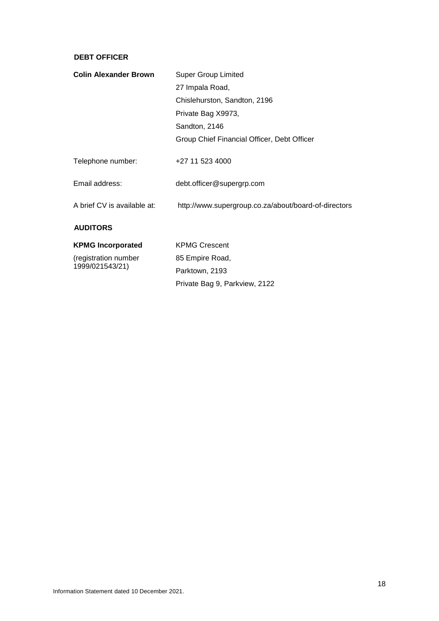## **DEBT OFFICER**

| <b>Colin Alexander Brown</b>            | <b>Super Group Limited</b>                           |
|-----------------------------------------|------------------------------------------------------|
|                                         | 27 Impala Road,                                      |
|                                         | Chislehurston, Sandton, 2196                         |
|                                         | Private Bag X9973,                                   |
|                                         | Sandton, 2146                                        |
|                                         | Group Chief Financial Officer, Debt Officer          |
| Telephone number:                       | +27 11 523 4000                                      |
| Email address:                          | debt.officer@supergrp.com                            |
| A brief CV is available at:             | http://www.supergroup.co.za/about/board-of-directors |
| <b>AUDITORS</b>                         |                                                      |
| <b>KPMG Incorporated</b>                | <b>KPMG Crescent</b>                                 |
| (registration number<br>1999/021543/21) | 85 Empire Road,                                      |
|                                         | Parktown, 2193                                       |

Private Bag 9, Parkview, 2122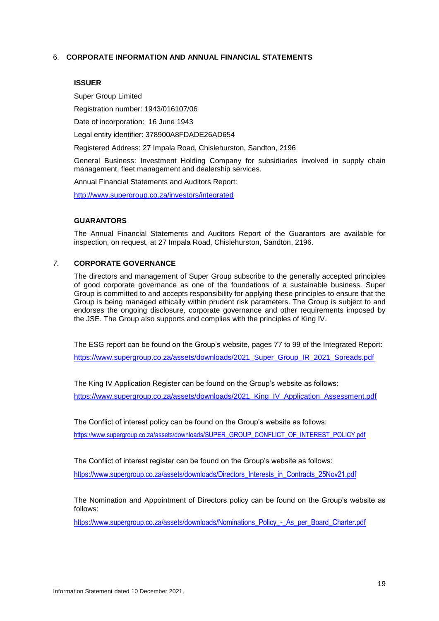## 6. **CORPORATE INFORMATION AND ANNUAL FINANCIAL STATEMENTS**

#### **ISSUER**

Super Group Limited

Registration number: 1943/016107/06

Date of incorporation: 16 June 1943

Legal entity identifier: 378900A8FDADE26AD654

Registered Address: 27 Impala Road, Chislehurston, Sandton, 2196

General Business: Investment Holding Company for subsidiaries involved in supply chain management, fleet management and dealership services.

Annual Financial Statements and Auditors Report:

<http://www.supergroup.co.za/investors/integrated>

#### **GUARANTORS**

The Annual Financial Statements and Auditors Report of the Guarantors are available for inspection, on request, at 27 Impala Road, Chislehurston, Sandton, 2196.

## *7.* **CORPORATE GOVERNANCE**

The directors and management of Super Group subscribe to the generally accepted principles of good corporate governance as one of the foundations of a sustainable business. Super Group is committed to and accepts responsibility for applying these principles to ensure that the Group is being managed ethically within prudent risk parameters. The Group is subject to and endorses the ongoing disclosure, corporate governance and other requirements imposed by the JSE. The Group also supports and complies with the principles of King IV.

The ESG report can be found on the Group's website, pages 77 to 99 of the Integrated Report: [https://www.supergroup.co.za/assets/downloads/2021\\_Super\\_Group\\_IR\\_2021\\_Spreads.pdf](https://www.supergroup.co.za/assets/downloads/2021_Super_Group_IR_2021_Spreads.pdf)

The King IV Application Register can be found on the Group's website as follows: https://www.supergroup.co.za/assets/downloads/2021\_King\_IV\_Application\_Assessment.pdf

The Conflict of interest policy can be found on the Group's website as follows:

https://www.supergroup.co.za/assets/downloads/SUPER\_GROUP\_CONFLICT\_OF\_INTEREST\_POLICY.pdf

The Conflict of interest register can be found on the Group's website as follows:

https://www.supergroup.co.za/assets/downloads/Directors\_Interests\_in\_Contracts\_25Nov21.pdf

The Nomination and Appointment of Directors policy can be found on the Group's website as follows:

https://www.supergroup.co.za/assets/downloads/Nominations\_Policy\_-\_As\_per\_Board\_Charter.pdf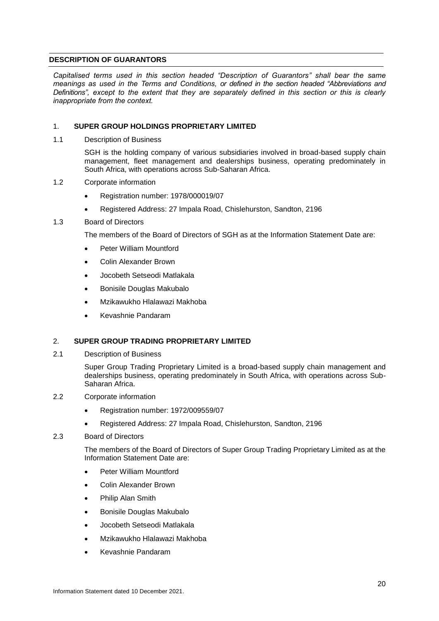## <span id="page-24-0"></span>**DESCRIPTION OF GUARANTORS**

*Capitalised terms used in this section headed "Description of Guarantors" shall bear the same meanings as used in the Terms and Conditions, or defined in the section headed "Abbreviations and Definitions", except to the extent that they are separately defined in this section or this is clearly inappropriate from the context.*

## 1. **SUPER GROUP HOLDINGS PROPRIETARY LIMITED**

1.1 Description of Business

SGH is the holding company of various subsidiaries involved in broad-based supply chain management, fleet management and dealerships business, operating predominately in South Africa, with operations across Sub-Saharan Africa.

- 1.2 Corporate information
	- Registration number: 1978/000019/07
	- Registered Address: 27 Impala Road, Chislehurston, Sandton, 2196

#### 1.3 Board of Directors

The members of the Board of Directors of SGH as at the Information Statement Date are:

- Peter William Mountford
- Colin Alexander Brown
- Jocobeth Setseodi Matlakala
- Bonisile Douglas Makubalo
- Mzikawukho Hlalawazi Makhoba
- Kevashnie Pandaram

## 2. **SUPER GROUP TRADING PROPRIETARY LIMITED**

2.1 Description of Business

Super Group Trading Proprietary Limited is a broad-based supply chain management and dealerships business, operating predominately in South Africa, with operations across Sub-Saharan Africa.

- 2.2 Corporate information
	- Registration number: 1972/009559/07
	- Registered Address: 27 Impala Road, Chislehurston, Sandton, 2196

#### 2.3 Board of Directors

The members of the Board of Directors of Super Group Trading Proprietary Limited as at the Information Statement Date are:

- Peter William Mountford
- Colin Alexander Brown
- Philip Alan Smith
- Bonisile Douglas Makubalo
- Jocobeth Setseodi Matlakala
- Mzikawukho Hlalawazi Makhoba
- Kevashnie Pandaram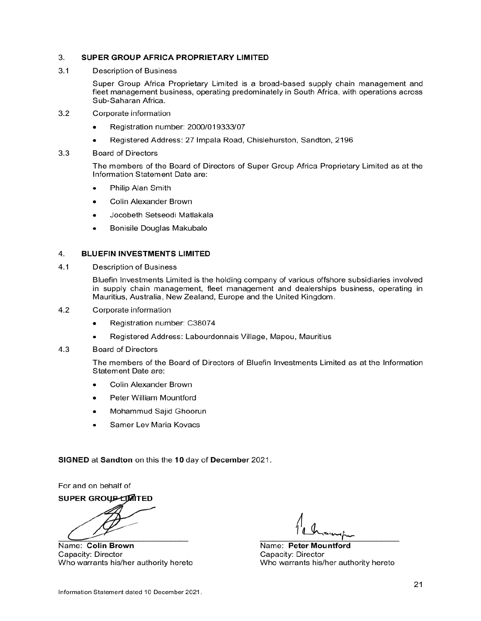#### 3. SUPER GROUP AFRICA PROPRIETARY LIMITED

 $3.1$ **Description of Business** 

> Super Group Africa Proprietary Limited is a broad-based supply chain management and fleet management business, operating predominately in South Africa, with operations across Sub-Saharan Africa.

- $3.2$ Corporate information
	- Registration number: 2000/019333/07
	- Registered Address: 27 Impala Road, Chislehurston, Sandton, 2196
- $3.3$ **Board of Directors**

The members of the Board of Directors of Super Group Africa Proprietary Limited as at the Information Statement Date are:

- Philip Alan Smith  $\bullet$
- Colin Alexander Brown
- Jocobeth Setseodi Matlakala
- Bonisile Douglas Makubalo

#### 4. **BLUEFIN INVESTMENTS LIMITED**

 $4.1$ **Description of Business** 

> Bluefin Investments Limited is the holding company of various offshore subsidiaries involved in supply chain management, fleet management and dealerships business, operating in Mauritius, Australia, New Zealand, Europe and the United Kingdom.

- $4.2$ Corporate information
	- Registration number: C38074
	- Registered Address: Labourdonnais Village, Mapou, Mauritius
- $4.3$ **Board of Directors**

The members of the Board of Directors of Bluefin Investments Limited as at the Information Statement Date are:

- Colin Alexander Brown
- Peter William Mountford
- Mohammud Sajid Ghoorun
- Samer Lev Maria Kovacs

SIGNED at Sandton on this the 10 day of December 2021.

For and on behalf of

SUPER GROUP LIMITED

Name: Colin Brown Capacity: Director Who warrants his/her authority hereto

Name: Peter Mountford Capacity: Director Who warrants his/her authority hereto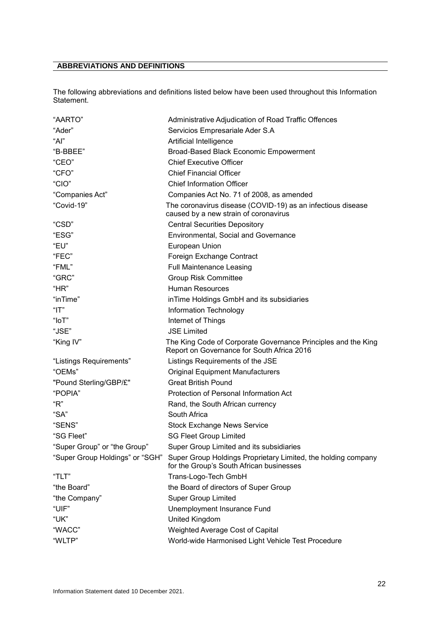# <span id="page-26-0"></span>**ABBREVIATIONS AND DEFINITIONS**

The following abbreviations and definitions listed below have been used throughout this Information Statement.

| "AARTO"                         | Administrative Adjudication of Road Traffic Offences                                                        |
|---------------------------------|-------------------------------------------------------------------------------------------------------------|
| "Ader"                          | Servicios Empresariale Ader S.A                                                                             |
| "Al"                            | Artificial Intelligence                                                                                     |
| "B-BBEE"                        | Broad-Based Black Economic Empowerment                                                                      |
| "CEO"                           | <b>Chief Executive Officer</b>                                                                              |
| "CFO"                           | <b>Chief Financial Officer</b>                                                                              |
| "CIO"                           | <b>Chief Information Officer</b>                                                                            |
| "Companies Act"                 | Companies Act No. 71 of 2008, as amended                                                                    |
| "Covid-19"                      | The coronavirus disease (COVID-19) as an infectious disease<br>caused by a new strain of coronavirus        |
| "CSD"                           | <b>Central Securities Depository</b>                                                                        |
| "ESG"                           | Environmental, Social and Governance                                                                        |
| "EU"                            | European Union                                                                                              |
| "FEC"                           | Foreign Exchange Contract                                                                                   |
| "FML"                           | <b>Full Maintenance Leasing</b>                                                                             |
| "GRC"                           | <b>Group Risk Committee</b>                                                                                 |
| "HR"                            | Human Resources                                                                                             |
| "inTime"                        | in Time Holdings GmbH and its subsidiaries                                                                  |
| " $T$ "                         | Information Technology                                                                                      |
| " $I$ o $T$ "                   | Internet of Things                                                                                          |
| "JSE"                           | <b>JSE Limited</b>                                                                                          |
| "King IV"                       | The King Code of Corporate Governance Principles and the King<br>Report on Governance for South Africa 2016 |
| "Listings Requirements"         | Listings Requirements of the JSE                                                                            |
| "OEMs"                          | <b>Original Equipment Manufacturers</b>                                                                     |
| "Pound Sterling/GBP/£"          | <b>Great British Pound</b>                                                                                  |
| "POPIA"                         | Protection of Personal Information Act                                                                      |
| "R"                             | Rand, the South African currency                                                                            |
| "SA"                            | South Africa                                                                                                |
| "SENS"                          | <b>Stock Exchange News Service</b>                                                                          |
| "SG Fleet"                      | <b>SG Fleet Group Limited</b>                                                                               |
| "Super Group" or "the Group"    | Super Group Limited and its subsidiaries                                                                    |
| "Super Group Holdings" or "SGH" | Super Group Holdings Proprietary Limited, the holding company<br>for the Group's South African businesses   |
| "TLT"                           | Trans-Logo-Tech GmbH                                                                                        |
| "the Board"                     | the Board of directors of Super Group                                                                       |
| "the Company"                   | <b>Super Group Limited</b>                                                                                  |
| "UIF"                           | Unemployment Insurance Fund                                                                                 |
| "UK"                            | United Kingdom                                                                                              |
| "WACC"                          | Weighted Average Cost of Capital                                                                            |
| "WLTP"                          | World-wide Harmonised Light Vehicle Test Procedure                                                          |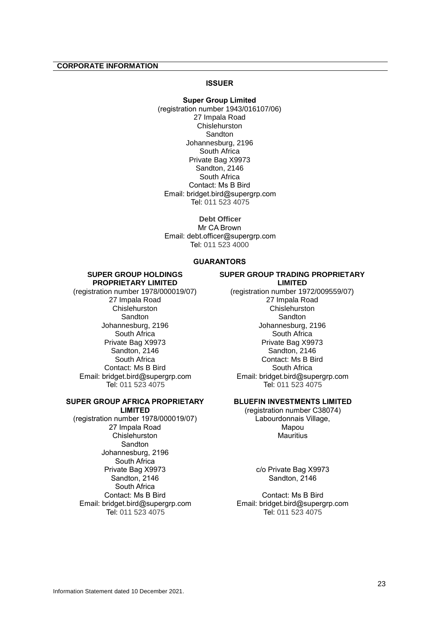## <span id="page-27-0"></span>**CORPORATE INFORMATION**

## **ISSUER**

**Super Group Limited** (registration number 1943/016107/06) 27 Impala Road **Chislehurston** Sandton Johannesburg, 2196 South Africa Private Bag X9973 Sandton, 2146 South Africa Contact: Ms B Bird Email: bridget.bird@supergrp.com Tel: 011 523 4075

**Debt Officer** Mr CA Brown Email: debt.officer@supergrp.com Tel: 011 523 4000

## **GUARANTORS**

#### **SUPER GROUP HOLDINGS PROPRIETARY LIMITED**

(registration number 1978/000019/07) 27 Impala Road **Chislehurston** Sandton Johannesburg, 2196 South Africa Private Bag X9973 Sandton, 2146 South Africa Contact: Ms B Bird Email: bridget.bird@supergrp.com Tel: 011 523 4075

#### **SUPER GROUP AFRICA PROPRIETARY LIMITED**

(registration number 1978/000019/07) 27 Impala Road Chislehurston **Sandton** Johannesburg, 2196 South Africa Private Bag X9973 Sandton, 2146 South Africa Contact: Ms B Bird Email: bridget.bird@supergrp.com Tel: 011 523 4075

## **SUPER GROUP TRADING PROPRIETARY LIMITED**

(registration number 1972/009559/07) 27 Impala Road **Chislehurston Sandton** Johannesburg, 2196 South Africa Private Bag X9973 Sandton, 2146 Contact: Ms B Bird South Africa Email: bridget.bird@supergrp.com Tel: 011 523 4075

## **BLUEFIN INVESTMENTS LIMITED**

(registration number C38074) Labourdonnais Village, Mapou **Mauritius** 

> c/o Private Bag X9973 Sandton, 2146

Contact: Ms B Bird Email: bridget.bird@supergrp.com Tel: 011 523 4075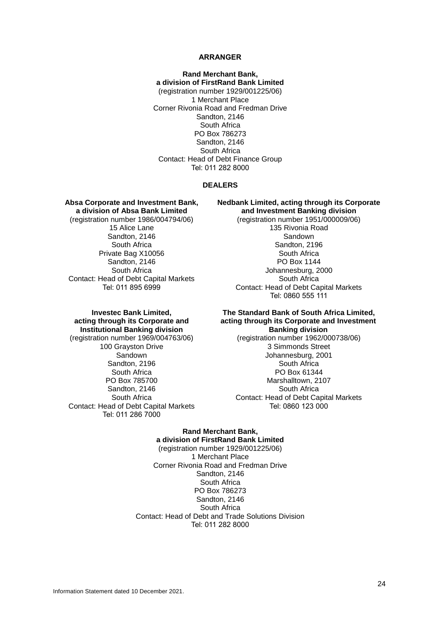#### **ARRANGER**

**Rand Merchant Bank, a division of FirstRand Bank Limited** (registration number 1929/001225/06) 1 Merchant Place Corner Rivonia Road and Fredman Drive Sandton, 2146 South Africa PO Box 786273 Sandton, 2146 South Africa Contact: Head of Debt Finance Group Tel: 011 282 8000

#### **DEALERS**

**Absa Corporate and Investment Bank, a division of Absa Bank Limited** (registration number 1986/004794/06) 15 Alice Lane Sandton, 2146 South Africa Private Bag X10056 Sandton, 2146 South Africa Contact: Head of Debt Capital Markets Tel: 011 895 6999

**Nedbank Limited, acting through its Corporate and Investment Banking division**

> (registration number 1951/000009/06) 135 Rivonia Road Sandown Sandton, 2196 South Africa PO Box 1144 Johannesburg, 2000 South Africa Contact: Head of Debt Capital Markets Tel: 0860 555 111

## **Investec Bank Limited, acting through its Corporate and Institutional Banking division**

(registration number 1969/004763/06) 100 Grayston Drive Sandown Sandton, 2196 South Africa PO Box 785700 Sandton, 2146 South Africa Contact: Head of Debt Capital Markets Tel: 011 286 7000

#### **The Standard Bank of South Africa Limited, acting through its Corporate and Investment Banking division**

(registration number 1962/000738/06) 3 Simmonds Street Johannesburg, 2001 South Africa PO Box 61344 Marshalltown, 2107 South Africa Contact: Head of Debt Capital Markets Tel: 0860 123 000

## **Rand Merchant Bank, a division of FirstRand Bank Limited**

(registration number 1929/001225/06) 1 Merchant Place Corner Rivonia Road and Fredman Drive Sandton, 2146 South Africa PO Box 786273 Sandton, 2146 South Africa Contact: Head of Debt and Trade Solutions Division Tel: 011 282 8000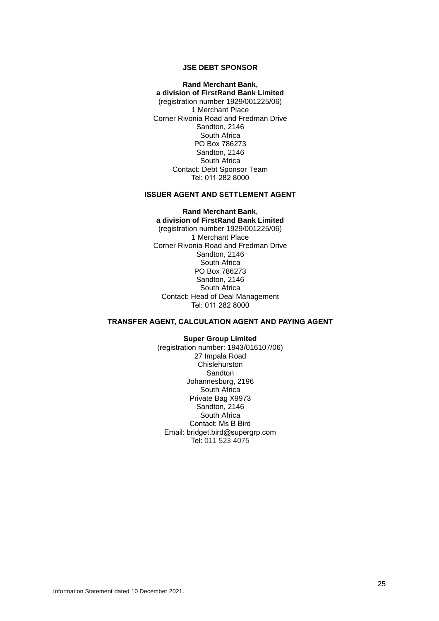## **JSE DEBT SPONSOR**

**Rand Merchant Bank, a division of FirstRand Bank Limited** (registration number 1929/001225/06) 1 Merchant Place Corner Rivonia Road and Fredman Drive Sandton, 2146 South Africa PO Box 786273 Sandton, 2146 South Africa Contact: Debt Sponsor Team Tel: 011 282 8000

#### **ISSUER AGENT AND SETTLEMENT AGENT**

**Rand Merchant Bank, a division of FirstRand Bank Limited** (registration number 1929/001225/06) 1 Merchant Place Corner Rivonia Road and Fredman Drive Sandton, 2146 South Africa PO Box 786273 Sandton, 2146 South Africa Contact: Head of Deal Management Tel: 011 282 8000

## **TRANSFER AGENT, CALCULATION AGENT AND PAYING AGENT**

**Super Group Limited** (registration number: 1943/016107/06) 27 Impala Road **Chislehurston** Sandton Johannesburg, 2196 South Africa Private Bag X9973 Sandton, 2146 South Africa Contact: Ms B Bird Email: bridget.bird@supergrp.com Tel: 011 523 4075